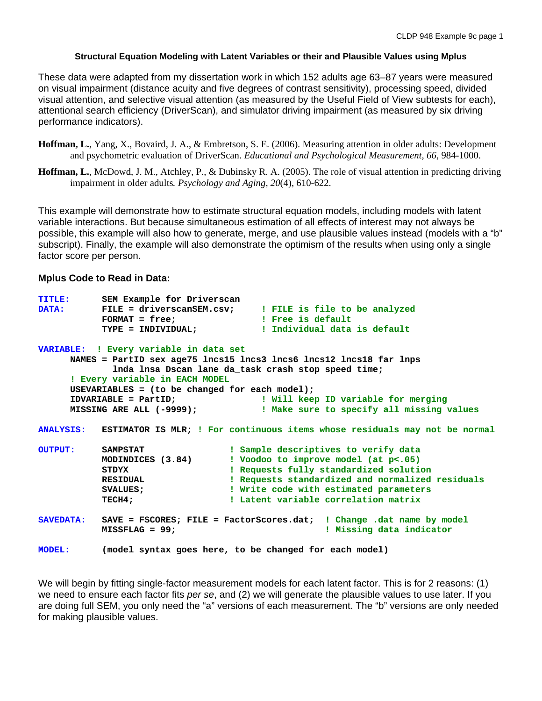#### **Structural Equation Modeling with Latent Variables or their and Plausible Values using Mplus**

These data were adapted from my dissertation work in which 152 adults age 63–87 years were measured on visual impairment (distance acuity and five degrees of contrast sensitivity), processing speed, divided visual attention, and selective visual attention (as measured by the Useful Field of View subtests for each), attentional search efficiency (DriverScan), and simulator driving impairment (as measured by six driving performance indicators).

- **Hoffman, L.**, Yang, X., Bovaird, J. A., & Embretson, S. E. (2006). Measuring attention in older adults: Development and psychometric evaluation of DriverScan. *Educational and Psychological Measurement, 66*, 984-1000.
- **Hoffman, L.**, McDowd, J. M., Atchley, P., & Dubinsky R. A. (2005). The role of visual attention in predicting driving impairment in older adults*. Psychology and Aging, 20*(4), 610-622.

This example will demonstrate how to estimate structural equation models, including models with latent variable interactions. But because simultaneous estimation of all effects of interest may not always be possible, this example will also how to generate, merge, and use plausible values instead (models with a "b" subscript). Finally, the example will also demonstrate the optimism of the results when using only a single factor score per person.

### **Mplus Code to Read in Data:**

| <b>TITLE:</b>    | SEM Example for Driverscan                     |                                                                                                                      |
|------------------|------------------------------------------------|----------------------------------------------------------------------------------------------------------------------|
| <b>DATA:</b>     |                                                | FILE = driverscanSEM.csv; I FILE is file to be analyzed                                                              |
|                  | $FORMAT = free;$                               | <b>Example 1 Section 1 Section 1 Section 1 Section 1 Section 1 Section 1 Section 1 Section 1 Section 1 Section 1</b> |
|                  |                                                | TYPE = INDIVIDUAL; TIMOVIDUAL : Individual data is default                                                           |
|                  | VARIABLE: ! Every variable in data set         |                                                                                                                      |
|                  |                                                | NAMES = PartID sex age75 lncs15 lncs3 lncs6 lncs12 lncs18 far lnps                                                   |
|                  |                                                | Inda Insa Dscan lane da_task crash stop speed time;                                                                  |
|                  | ! Every variable in EACH MODEL                 |                                                                                                                      |
|                  | USEVARIABLES = (to be changed for each model); |                                                                                                                      |
|                  | IDVARIABLE = PartID;                           | ! Will keep ID variable for merging                                                                                  |
|                  | MISSING ARE ALL (-9999);                       | ! Make sure to specify all missing values                                                                            |
| <b>ANALYSIS:</b> |                                                | ESTIMATOR IS MLR; ! For continuous items whose residuals may not be normal                                           |
| <b>OUTPUT:</b>   | SAMPSTAT                                       | ! Sample descriptives to verify data                                                                                 |
|                  | MODINDICES (3.84)                              | ! Voodoo to improve model (at $p<.05$ )                                                                              |
|                  | STDYX                                          | ! Requests fully standardized solution                                                                               |
|                  | <b>RESIDUAL</b>                                | ! Requests standardized and normalized residuals                                                                     |
|                  | <b>SVALUES ;</b>                               | ! Write code with estimated parameters                                                                               |
|                  | TECH4;                                         | ! Latent variable correlation matrix                                                                                 |
| <b>SAVEDATA:</b> |                                                | SAVE = $FSCORES$ ; $FILE = FactorScores.dat$ ; $l$ Change .dat name by model                                         |
|                  | $MISSFLAG = 99:$                               | ! Missing data indicator                                                                                             |
| <b>MODEL:</b>    |                                                | (model syntax goes here, to be changed for each model)                                                               |

We will begin by fitting single-factor measurement models for each latent factor. This is for 2 reasons: (1) we need to ensure each factor fits *per se*, and (2) we will generate the plausible values to use later. If you are doing full SEM, you only need the "a" versions of each measurement. The "b" versions are only needed for making plausible values.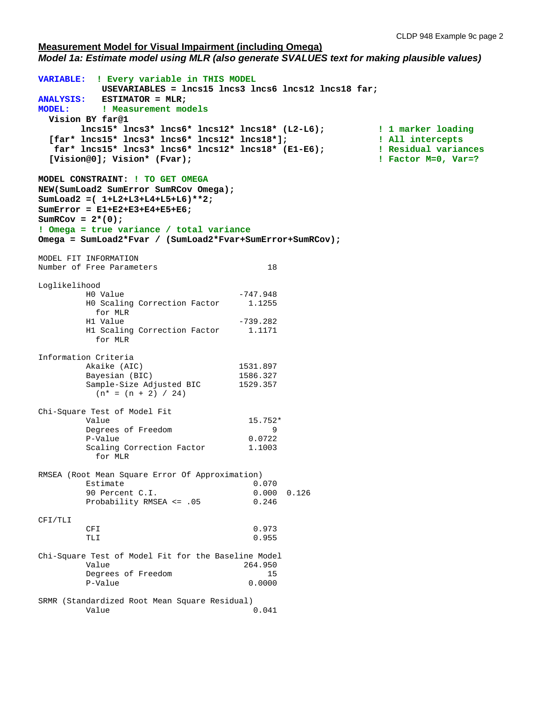#### **Measurement Model for Visual Impairment (including Omega)** *Model 1a: Estimate model using MLR (also generate SVALUES text for making plausible values)*

**VARIABLE: ! Every variable in THIS MODEL USEVARIABLES = lncs15 lncs3 lncs6 lncs12 lncs18 far; ANALYSIS: ESTIMATOR = MLR;**<br>MODEL: : **! Measurement mo ! Measurement models Vision BY far@1 lncs15\* lncs3\* lncs6\* lncs12\* lncs18\* (L2-L6); ! 1 marker loading [far\* lncs15\* lncs3\* lncs6\* lncs12\* lncs18\*]; ! All intercepts far\* lncs15\* lncs3\* lncs6\* lncs12\* lncs18\* (E1-E6); ! Residual variances [Vision@0]; Vision\* (Fvar); ! Factor M=0, Var=? MODEL CONSTRAINT: ! TO GET OMEGA NEW(SumLoad2 SumError SumRCov Omega); SumLoad2 =( 1+L2+L3+L4+L5+L6)\*\*2; SumError = E1+E2+E3+E4+E5+E6;**  $SumRCov = 2*(0);$ **! Omega = true variance / total variance Omega = SumLoad2\*Fvar / (SumLoad2\*Fvar+SumError+SumRCov);** MODEL FIT INFORMATION Number of Free Parameters 18 Loglikelihood HO Value -747.948<br>HO Scaling Correction Factor 1.1255 H0 Scaling Correction Factor for MLR<br>H1 Value  $H1$  Value  $-739.282$  H1 Scaling Correction Factor 1.1171 for MLR Information Criteria Akaike (AIC) 1531.897<br>Bayesian (BIC) 1586.327 Bayesian (BIC) 1586.327<br>Sample-Size Adjusted BIC 1529.357 Sample-Size Adjusted BIC  $(n* = (n + 2) / 24)$ Chi-Square Test of Model Fit Value 15.752\* Degrees of Freedom 9 P-Value 0.0722 Scaling Correction Factor 1.1003 for MLR RMSEA (Root Mean Square Error Of Approximation)  $\begin{array}{ccc} 0.070 & \ 0.000 & 0.126 \end{array}$ 90 Percent C.I.<br>Probability RMSEA <= .05 0.246 Probability RMSEA <= .05 CFI/TLI CFI 0.973 TLI and  $0.955$ Chi-Square Test of Model Fit for the Baseline Model Value 264.950 Degrees of Freedom 15<br>
P-Value 0.0000 P-Value SRMR (Standardized Root Mean Square Residual) Value 0.041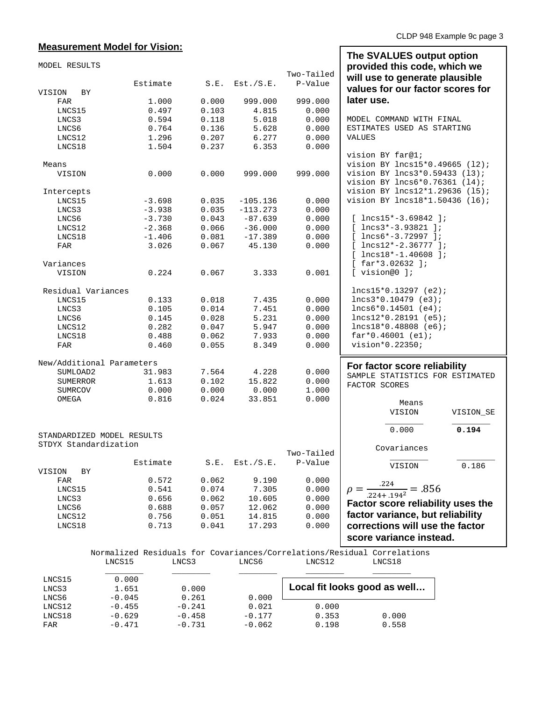## **Measurement Model for Vision:**

| MODEL RESULTS              |                |       |               | Two-Tailed | The SVALUES output option<br>provided this code, which we<br>will use to generate plausible |
|----------------------------|----------------|-------|---------------|------------|---------------------------------------------------------------------------------------------|
|                            | Estimate       | S.E.  | Est./S.E.     | P-Value    | values for our factor scores for                                                            |
| VISION<br>BY               |                |       |               |            |                                                                                             |
| FAR                        | 1.000          | 0.000 | 999.000       | 999.000    | later use.                                                                                  |
| LNCS15                     | 0.497          | 0.103 | 4.815         | 0.000      |                                                                                             |
| LNCS3                      | 0.594          | 0.118 | 5.018         | 0.000      | MODEL COMMAND WITH FINAL                                                                    |
| LNCS6                      | 0.764          | 0.136 | 5.628         | 0.000      | ESTIMATES USED AS STARTING                                                                  |
| LNCS12                     | 1.296          | 0.207 | 6.277         | 0.000      | <b>VALUES</b>                                                                               |
| LNCS18                     | 1.504          | 0.237 | 6.353         | 0.000      |                                                                                             |
|                            |                |       |               |            | vision BY far@1;                                                                            |
| Means                      |                |       |               |            | vision BY lncs15*0.49665 (12);                                                              |
| VISION                     | 0.000          | 0.000 | 999.000       | 999.000    | vision BY lncs3*0.59433 (13);                                                               |
|                            |                |       |               |            | vision BY lncs6*0.76361 (14);                                                               |
| Intercepts                 |                |       |               |            | vision BY lncs12*1.29636 (15);                                                              |
| LNCS15                     | $-3.698$       | 0.035 | $-105.136$    | 0.000      | vision BY lncs18*1.50436 (16);                                                              |
| LNCS3                      | $-3.938$       | 0.035 | $-113.273$    | 0.000      |                                                                                             |
| LNCS6                      | $-3.730$       | 0.043 | $-87.639$     | 0.000      | $[$ lncs15*-3.69842 ];                                                                      |
| LNCS12                     | $-2.368$       | 0.066 | $-36.000$     | 0.000      | $[$ lncs3*-3.93821 ];                                                                       |
| LNCS18                     | $-1.406$       | 0.081 | $-17.389$     | 0.000      | $[$ lncs $6*-3.72997]$ ;                                                                    |
| FAR                        | 3.026          | 0.067 | 45.130        | 0.000      | $[$ lncs12*-2.36777 ];                                                                      |
|                            |                |       |               |            | $[$ lncs18*-1.40608 ];                                                                      |
| Variances                  |                |       |               |            | $[$ far*3.02632 ];<br>[ vision@0 ];                                                         |
| VISION                     | 0.224          | 0.067 | 3.333         | 0.001      |                                                                                             |
| Residual Variances         |                |       |               |            | $lncs15*0.13297 (e2);$                                                                      |
| LNCS15                     | 0.133          | 0.018 | 7.435         | 0.000      | $lncs3*0.10479$ (e3);                                                                       |
| LNCS3                      | 0.105          | 0.014 | 7.451         | 0.000      | $lncs6*0.14501 (e4);$                                                                       |
| LNCS6                      | 0.145          | 0.028 | 5.231         | 0.000      | $lncs12*0.28191$ (e5);                                                                      |
| LNCS12                     | 0.282          | 0.047 | 5.947         | 0.000      | $lncs18*0.48808$ (e6);                                                                      |
| LNCS18                     | 0.488          | 0.062 | 7.933         | 0.000      | $far*0.46001 (e1);$                                                                         |
| FAR                        | 0.460          | 0.055 | 8.349         | 0.000      | vision*0.22350;                                                                             |
| New/Additional Parameters  |                |       |               |            | For factor score reliability                                                                |
| SUMLOAD2                   | 31.983         | 7.564 | 4.228         | 0.000      | SAMPLE STATISTICS FOR ESTIMATED                                                             |
| SUMERROR                   | 1.613          | 0.102 | 15.822        | 0.000      |                                                                                             |
| <b>SUMRCOV</b>             | 0.000          | 0.000 | 0.000         | 1.000      | FACTOR SCORES                                                                               |
| OMEGA                      | 0.816          | 0.024 | 33.851        | 0.000      |                                                                                             |
|                            |                |       |               |            | Means<br>VISION<br>VISION SE                                                                |
|                            |                |       |               |            |                                                                                             |
| STANDARDIZED MODEL RESULTS |                |       |               |            | 0.000<br>0.194                                                                              |
| STDYX Standardization      |                |       |               |            | Covariances                                                                                 |
|                            |                |       |               | Two-Tailed |                                                                                             |
|                            | Estimate       | S.E.  | Est./S.E.     | P-Value    | 0.186<br>VISION                                                                             |
| VISION<br>ВY               |                |       |               |            |                                                                                             |
| FAR                        | 0.572          | 0.062 | 9.190         | 0.000      |                                                                                             |
| LNCS15                     | 0.541          | 0.074 | 7.305         | 0.000      | $\rho = \frac{.224}{.224 + .194^2} = .856$                                                  |
| LNCS3                      | 0.656          | 0.062 | 10.605        | 0.000      | Factor score reliability uses the                                                           |
| LNCS6                      | 0.688          | 0.057 | 12.062        | 0.000      | factor variance, but reliability                                                            |
| LNCS12                     | 0.756          | 0.051 | 14.815        | 0.000      |                                                                                             |
| LNCS18                     | 0.713          | 0.041 | 17.293        | 0.000      | corrections will use the factor                                                             |
|                            |                |       |               |            | score variance instead.                                                                     |
| <b>TNCC15</b>              | <b>T.NTCR3</b> |       | <b>T.NCCG</b> | T.NOC12    | Normalized Residuals for Covariances/Correlations/Residual Correlations<br><b>T.NOC18</b>   |

LNCS15 LNCS3 LNCS6 LNCS12 LNCS18 \_\_\_\_\_\_\_\_ \_\_\_\_\_\_\_\_ \_\_\_\_\_\_\_\_ \_\_\_\_\_\_\_\_ \_\_\_\_\_\_\_\_ LNCS15 0.000 LNCS3 1.651 0.000 LNCS3 1.651 0.000<br>
LNCS6 -0.045 0.261 0.000<br>
LNCS12 -0.455 -0.241 0.021 LNCS12 -0.455 -0.241 0.021 0.000<br>LNCS18 -0.629 -0.458 -0.177 0.353 LNCS18 -0.629 -0.458 -0.177 0.353 0.000 **Local fit looks good as well…**

FAR -0.471 -0.731 -0.062 0.198 0.558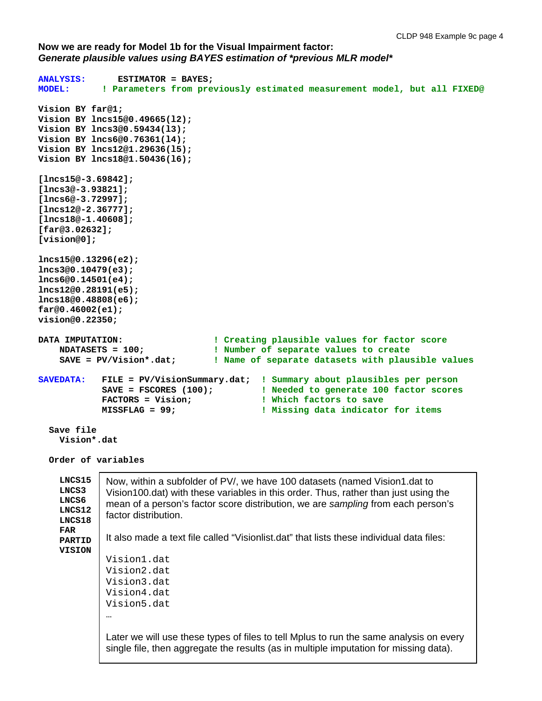**Now we are ready for Model 1b for the Visual Impairment factor:**  *Generate plausible values using BAYES estimation of \*previous MLR model\**

```
ANALYSIS: ESTIMATOR = BAYES; 
             MODEL: ! Parameters from previously estimated measurement model, but all FIXED@
Vision BY far@1;
Vision BY lncs15@0.49665(l2);
Vision BY lncs3@0.59434(l3);
Vision BY lncs6@0.76361(l4);
Vision BY lncs12@1.29636(l5);
Vision BY lncs18@1.50436(l6);
[lncs15@-3.69842];
[lncs3@-3.93821];
[lncs6@-3.72997];
[lncs12@-2.36777];
[lncs18@-1.40608];
[far@3.02632];
[vision@0];
lncs15@0.13296(e2);
lncs3@0.10479(e3);
lncs6@0.14501(e4);
lncs12@0.28191(e5);
lncs18@0.48808(e6);
far@0.46002(e1);
vision@0.22350;
DATA IMPUTATION: \qquad \qquad \qquad ! Creating plausible values for factor score<br>
NUMBETS = 100; \qquad \qquad \qquad \qquad \qquad ! Number of separate values to create
 NDATASETS = 100; ! Number of separate values to create
 SAVE = PV/Vision*.dat; ! Name of separate datasets with plausible values
SAVEDATA: FILE = PV/VisionSummary.dat; ! Summary about plausibles per person
 SAVE = FSCORES (100); ! Needed to generate 100 factor scores
 FACTORS = Vision; ! Which factors to save
            MISSFLAG = 99; ! Missing data indicator for items
   Save file
     Vision*.dat
   Order of variables
     LNCS15
     LNCS3
     LNCS6
     LNCS12
     LNCS18
     FAR
     PARTID
     VISION
              Now, within a subfolder of PV/, we have 100 datasets (named Vision1.dat to 
              Vision100.dat) with these variables in this order. Thus, rather than just using the 
              mean of a person's factor score distribution, we are sampling from each person's 
              factor distribution.
              It also made a text file called "Visionlist.dat" that lists these individual data files:
              Vision1.dat
              Vision2.dat
              Vision3.dat
              Vision4.dat
              Vision5.dat
              …
              Later we will use these types of files to tell Mplus to run the same analysis on every 
              single file, then aggregate the results (as in multiple imputation for missing data).
```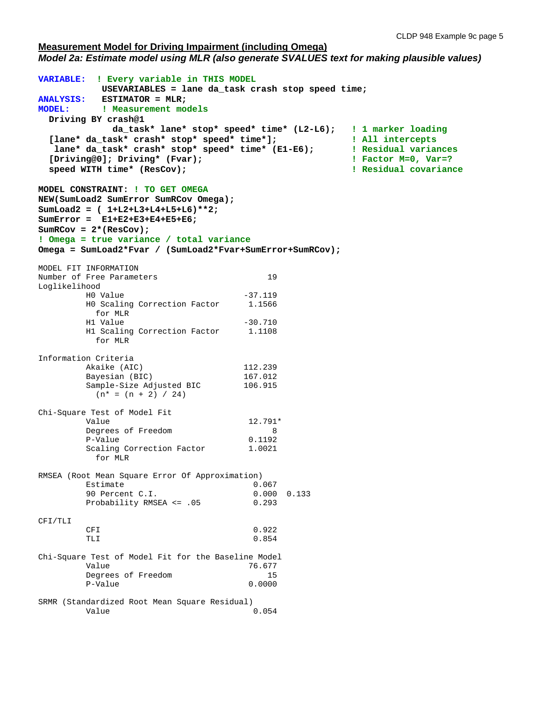#### **Measurement Model for Driving Impairment (including Omega)** *Model 2a: Estimate model using MLR (also generate SVALUES text for making plausible values)*

```
VARIABLE: ! Every variable in THIS MODEL
           USEVARIABLES = lane da_task crash stop speed time;
ANALYSIS: ESTIMATOR = MLR;<br>MODEL: : ! Measurement mo
         Weasurement models
  Driving BY crash@1 
  da_task* lane* stop* speed* time* (L2-L6); ! 1 marker loading
 [lane* da_task* crash* stop* speed* time*]; ! All intercepts
  lane* da_task* crash* stop* speed* time* (E1-E6); ! Residual variances
 [Driving@0]; Driving* (Fvar); ! Factor M=0, Var=?
  speed WITH time* (ResCov); ! Residual covariance
MODEL CONSTRAINT: ! TO GET OMEGA
NEW(SumLoad2 SumError SumRCov Omega); 
SumLoad2 = ( 1+L2+L3+L4+L5+L6)**2;
SumError = E1+E2+E3+E4+E5+E6;
SumRCov = 2*(ResCov);
! Omega = true variance / total variance
Omega = SumLoad2*Fvar / (SumLoad2*Fvar+SumError+SumRCov);
MODEL FIT INFORMATION
Number of Free Parameters 19
Loglikelihood
H0 Value -37.119 H0 Scaling Correction Factor 1.1566
       for MLR<br>H1 Value
H1 Value -30.710 H1 Scaling Correction Factor 1.1108
          for MLR
Information Criteria
       Akaike (AIC) 112.239<br>Bavesian (BIC) 167.012
       Bayesian (BIC) 167.012<br>Sample-Size Adjusted BIC 106.915
       Sample-Size Adjusted BIC
         (n* = (n + 2) / 24)Chi-Square Test of Model Fit
Value 12.791*
Degrees of Freedom 8
       P-Value 0.1192<br>Scaling Correction Factor 1.0021
       Scaling Correction Factor
          for MLR
RMSEA (Root Mean Square Error Of Approximation)
Estimate 0.067
       90 Percent C.I. 0.000 0.133<br>Probability RMSEA <= .05 0.293
       Probability RMSEA <= .05
CFI/TLI
CFI 0.922
TLI 0.854
Chi-Square Test of Model Fit for the Baseline Model
Value 76.677
       Degrees of Freedom 15<br>P-Value 0.0000
       P-Value
SRMR (Standardized Root Mean Square Residual)
Value 0.054
```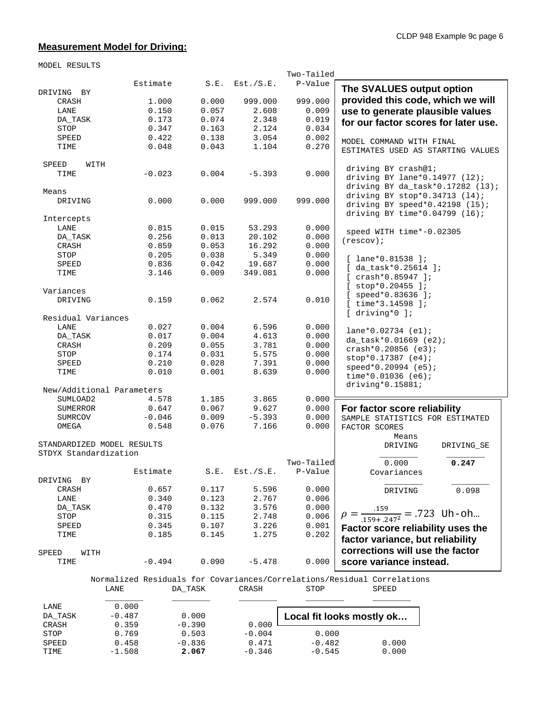## **Measurement Model for Driving:**

MODEL RESULTS

|                       |                            |       |           | Two-Tailed |                                                                         |
|-----------------------|----------------------------|-------|-----------|------------|-------------------------------------------------------------------------|
|                       | Estimate                   | S.E.  | Est./S.E. | P-Value    |                                                                         |
| DRIVING BY            |                            |       |           |            | The SVALUES output option                                               |
| CRASH                 | 1.000                      | 0.000 | 999.000   | 999.000    | provided this code, which we will                                       |
| LANE                  | 0.150                      | 0.057 | 2.608     | 0.009      | use to generate plausible values                                        |
| DA_TASK               | 0.173                      | 0.074 | 2.348     | 0.019      | for our factor scores for later use.                                    |
| STOP                  | 0.347                      | 0.163 | 2.124     | 0.034      |                                                                         |
| SPEED                 | 0.422                      | 0.138 | 3.054     | 0.002      |                                                                         |
| TIME                  | 0.048                      | 0.043 | 1.104     | 0.270      | MODEL COMMAND WITH FINAL                                                |
|                       |                            |       |           |            | ESTIMATES USED AS STARTING VALUES                                       |
| WITH<br>SPEED         |                            |       |           |            |                                                                         |
| TIME                  | $-0.023$                   | 0.004 | $-5.393$  | 0.000      | driving BY crash@1;                                                     |
|                       |                            |       |           |            | driving BY lane* $0.14977$ (12);                                        |
| Means                 |                            |       |           |            | driving BY da_task* $0.17282$ (13);                                     |
| DRIVING               | 0.000                      | 0.000 | 999.000   | 999.000    | driving BY stop*0.34713 (14);                                           |
|                       |                            |       |           |            | driving BY speed* $0.42198$ (15);                                       |
|                       |                            |       |           |            | driving BY time* $0.04799$ (16);                                        |
| Intercepts<br>LANE    | 0.815                      | 0.015 | 53.293    | 0.000      |                                                                         |
|                       |                            |       |           |            | speed WITH time*-0.02305                                                |
| DA_TASK               | 0.256                      | 0.013 | 20.102    | 0.000      | (rescov);                                                               |
| CRASH                 | 0.859                      | 0.053 | 16.292    | 0.000      |                                                                         |
| STOP                  | 0.205                      | 0.038 | 5.349     | 0.000      | $[$ lane*0.81538 ];                                                     |
| SPEED                 | 0.836                      | 0.042 | 19.687    | 0.000      | $[$ da_task*0.25614 ];                                                  |
| TIME                  | 3.146                      | 0.009 | 349.081   | 0.000      | $[crash*0.85947];$                                                      |
|                       |                            |       |           |            | $[$ stop*0.20455 ];                                                     |
| Variances             |                            |       |           |            | $[$ speed*0.83636 ];                                                    |
| DRIVING               | 0.159                      | 0.062 | 2.574     | 0.010      |                                                                         |
|                       |                            |       |           |            | $[$ time*3.14598 $]$ ;                                                  |
| Residual Variances    |                            |       |           |            | $[$ driving* $0$ ];                                                     |
| LANE                  | 0.027                      | 0.004 | 6.596     | 0.000      |                                                                         |
| DA_TASK               | 0.017                      | 0.004 | 4.613     | 0.000      | $lane*0.02734 (e1);$                                                    |
| CRASH                 | 0.209                      | 0.055 | 3.781     | 0.000      | $da_{x}$ task*0.01669 (e2);                                             |
| STOP                  | 0.174                      | 0.031 | 5.575     | 0.000      | $crash*0.20856 (e3);$                                                   |
| SPEED                 | 0.210                      | 0.028 | 7.391     | 0.000      | $stop*0.17387 (e4);$                                                    |
| TIME                  | 0.010                      | 0.001 | 8.639     | 0.000      | speed*0.20994 (e5);                                                     |
|                       |                            |       |           |            | $time*0.01036 (e6);$                                                    |
|                       | New/Additional Parameters  |       |           |            | $driving*0.15881;$                                                      |
|                       | 4.578                      | 1.185 | 3.865     | 0.000      |                                                                         |
| SUMLOAD2              |                            |       |           |            |                                                                         |
| SUMERROR              | 0.647                      | 0.067 | 9.627     | 0.000      | For factor score reliability                                            |
| <b>SUMRCOV</b>        | $-0.046$                   | 0.009 | $-5.393$  | 0.000      | SAMPLE STATISTICS FOR ESTIMATED                                         |
| OMEGA                 | 0.548                      | 0.076 | 7.166     | 0.000      | FACTOR SCORES                                                           |
|                       |                            |       |           |            | Means                                                                   |
|                       | STANDARDIZED MODEL RESULTS |       |           |            | DRIVING<br>DRIVING_SE                                                   |
| STDYX Standardization |                            |       |           |            |                                                                         |
|                       |                            |       |           | Two-Tailed | 0.000<br>0.247                                                          |
|                       | Estimate                   | S.E.  | Est./S.E. | P-Value    | Covariances                                                             |
| DRIVING<br>BY         |                            |       |           |            |                                                                         |
| CRASH                 | 0.657                      | 0.117 | 5.596     | 0.000      | 0.098<br>DRIVING                                                        |
| LANE                  | 0.340                      | 0.123 | 2.767     | 0.006      |                                                                         |
| DA_TASK               | 0.470                      | 0.132 | 3.576     | 0.000      |                                                                         |
| STOP                  | 0.315                      | 0.115 | 2.748     | 0.006      | $\rho = \frac{.159}{.159 + .247^2} = .723$ Uh-oh                        |
| SPEED                 | 0.345                      | 0.107 | 3.226     | 0.001      | Factor score reliability uses the                                       |
| TIME                  | 0.185                      | 0.145 | 1.275     | 0.202      | factor variance, but reliability                                        |
|                       |                            |       |           |            |                                                                         |
| SPEED<br>WITH         |                            |       |           |            | corrections will use the factor                                         |
| TIME                  | $-0.494$                   | 0.090 | $-5.478$  | 0.000      | score variance instead.                                                 |
|                       |                            |       |           |            |                                                                         |
|                       |                            |       |           |            | Normalized Residuals for Covariances/Correlations/Residual Correlations |
|                       | LANE<br>DA_TASK            |       | CRASH     | STOP       | SPEED                                                                   |

| LANE    | 0.000    |          |          |                           |       |
|---------|----------|----------|----------|---------------------------|-------|
| DA TASK | $-0.487$ | 0.000    |          | Local fit looks mostly ok |       |
| CRASH   | 0.359    | $-0.390$ | 0.000    |                           |       |
| STOP    | 0.769    | 0.503    | $-0.004$ | 0.000                     |       |
| SPEED   | 0.458    | $-0.836$ | 0.471    | $-0.482$                  | 0.000 |
| TIME    | $-1.508$ | 2.067    | $-0.346$ | $-0.545$                  | 0.000 |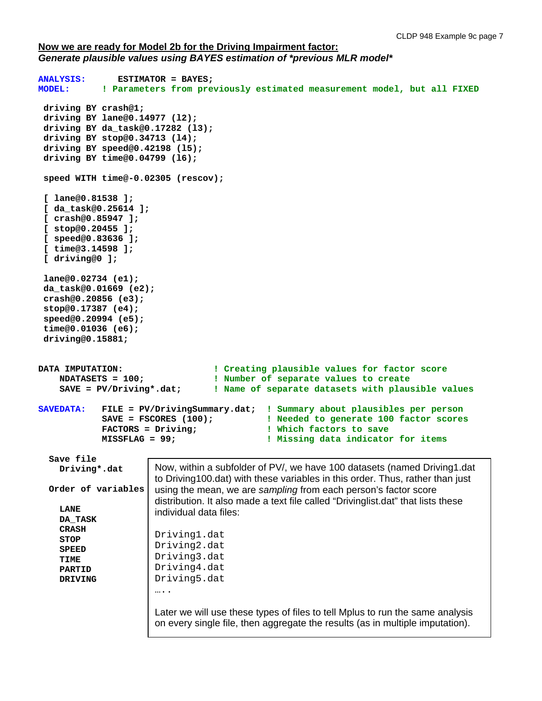### **Now we are ready for Model 2b for the Driving Impairment factor:**  *Generate plausible values using BAYES estimation of \*previous MLR model\**

```
ANALYSIS: ESTIMATOR = BAYES; 
             ! Parameters from previously estimated measurement model, but all FIXED
 driving BY crash@1;
 driving BY lane@0.14977 (l2);
 driving BY da_task@0.17282 (l3);
 driving BY stop@0.34713 (l4);
 driving BY speed@0.42198 (l5);
 driving BY time@0.04799 (l6);
 speed WITH time@-0.02305 (rescov);
 [ lane@0.81538 ];
 [ da_task@0.25614 ];
 [ crash@0.85947 ];
 [ stop@0.20455 ];
 [ speed@0.83636 ];
 [ time@3.14598 ];
 [ driving@0 ];
 lane@0.02734 (e1);
 da_task@0.01669 (e2);
 crash@0.20856 (e3);
 stop@0.17387 (e4);
 speed@0.20994 (e5);
 time@0.01036 (e6);
 driving@0.15881;
DATA IMPUTATION: \qquad \qquad \qquad ! Creating plausible values for factor score<br>
NUMBETS = 100; \qquad \qquad \qquad ! Number of separate values to create
     NDATASETS = 100; ! Number of separate values to create
                                   ! Name of separate datasets with plausible values
SAVEDATA: FILE = PV/DrivingSummary.dat; ! Summary about plausibles per person
                                              ! Needed to generate 100 factor scores
             FACTORS = Driving; 1988 : Which factors to save
             MISSFLAG = 99; ! Missing data indicator for items
   Save file
     Driving*.dat
   Order of variables
     LANE
     DA_TASK
     CRASH
     STOP
     SPEED
     TIME
     PARTID
     DRIVING
                        Now, within a subfolder of PV/, we have 100 datasets (named Driving1.dat 
                        to Driving100.dat) with these variables in this order. Thus, rather than just 
                        using the mean, we are sampling from each person's factor score 
                        distribution. It also made a text file called "Drivinglist.dat" that lists these 
                        individual data files:
                        Driving1.dat
                        Driving2.dat
                        Driving3.dat
                        Driving4.dat
                        Driving5.dat
                        …..
                        Later we will use these types of files to tell Mplus to run the same analysis 
                        on every single file, then aggregate the results (as in multiple imputation).
```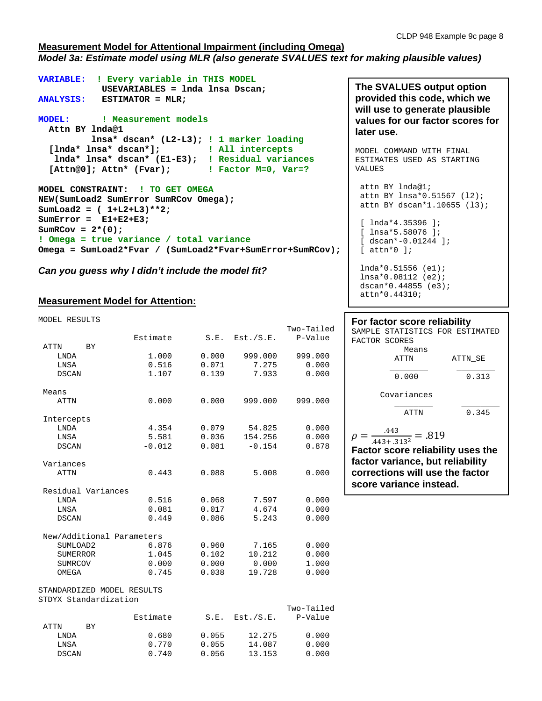#### **Measurement Model for Attentional Impairment (including Omega)** *Model 3a: Estimate model using MLR (also generate SVALUES text for making plausible values)*

```
VARIABLE: ! Every variable in THIS MODEL
            USEVARIABLES = lnda lnsa Dscan;
ANALYSIS: ESTIMATOR = MLR; 
MODEL: ! Measurement models
  Attn BY lnda@1 
          lnsa* dscan* (L2-L3); ! 1 marker loading
   [lnda* lnsa* dscan*]; ! All intercepts
   lnda* lnsa* dscan* (E1-E3); ! Residual variances
   [Attn@0]; Attn* (Fvar);
MODEL CONSTRAINT: ! TO GET OMEGA
NEW(SumLoad2 SumError SumRCov Omega); 
SumLoad2 = ( 1+L2+L3)**2;
SumError = E1+E2+E3;
SumRCov = 2*(0);
! Omega = true variance / total variance
Omega = SumLoad2*Fvar / (SumLoad2*Fvar+SumError+SumRCov);
```
*Can you guess why I didn't include the model fit?*

### **Measurement Model for Attention:**

| MODEL RESULTS              |          |       |                     |            |
|----------------------------|----------|-------|---------------------|------------|
|                            |          |       |                     | Two-Tailed |
|                            | Estimate |       | $S.E.$ Est./ $S.E.$ | P-Value    |
| ATTN<br><b>BY</b>          |          |       |                     |            |
| LNDA                       | 1,000    | 0.000 | 999.000             | 999.000    |
| LNSA                       | 0.516    | 0.071 | 7.275               | 0.000      |
| <b>DSCAN</b>               | 1.107    | 0.139 | 7.933               | 0.000      |
| Means                      |          |       |                     |            |
| <b>ATTN</b>                | 0.000    | 0.000 | 999.000             | 999.000    |
| Intercepts                 |          |       |                     |            |
| LNDA                       | 4.354    |       | $0.079$ 54.825      | 0.000      |
| LNSA                       | 5.581    | 0.036 | 154.256             | 0.000      |
| DSCAN                      | $-0.012$ | 0.081 | $-0.154$            | 0.878      |
| Variances                  |          |       |                     |            |
| <b>ATTN</b>                | 0.443    | 0.088 | 5.008               | 0.000      |
| Residual Variances         |          |       |                     |            |
| LNDA                       | 0.516    | 0.068 | 7.597               | 0.000      |
| LNSA                       | 0.081    | 0.017 | 4.674               | 0.000      |
| DSCAN                      | 0.449    | 0.086 | 5.243               | 0.000      |
| New/Additional Parameters  |          |       |                     |            |
| SUMLOAD2                   | 6.876    | 0.960 | 7.165               | 0.000      |
| SUMERROR                   | 1.045    | 0.102 | 10.212              | 0.000      |
| <b>SUMRCOV</b>             | 0.000    | 0.000 | 0.000               | 1.000      |
| OMEGA                      | 0.745    | 0.038 | 19.728              | 0.000      |
| STANDARDIZED MODEL RESULTS |          |       |                     |            |
| STDYX Standardization      |          |       |                     |            |

| Two-Tailed<br>P-Value | Est./S.E. | S.E.  | Estimate |     |              |
|-----------------------|-----------|-------|----------|-----|--------------|
|                       |           |       |          | RY. | ATTN         |
| 0.000                 | 12.275    | 0.055 | 0.680    |     | LNDA         |
| 0.000                 | 14.087    | 0.055 | 0.770    |     | LNSA         |
| 0.000                 | 13.153    | 0.056 | 0.740    |     | <b>DSCAN</b> |
|                       |           |       |          |     |              |

**The SVALUES output option provided this code, which we will use to generate plausible values for our factor scores for later use.**

MODEL COMMAND WITH FINAL ESTIMATES USED AS STARTING VALUES attn BY lnda@1;

attn BY lnsa\*0.51567 (l2); attn BY dscan\*1.10655 (l3);

```
[ lnda*4.35396 ];
[ lnsa*5.58076 ];
[ dscan*-0.01244 ];
[ attn*0 ];
lnda*0.51556 (e1);
lnsa*0.08112 (e2);
dscan*0.44855 (e3);
```
attn\*0.44310;

# **For factor score reliability** SAMPLE STATISTICS FOR ESTIMATED<br>FACTOR SCORES

| FACTOR SCORES                                                                       |         |  |  |  |  |  |
|-------------------------------------------------------------------------------------|---------|--|--|--|--|--|
| Means                                                                               |         |  |  |  |  |  |
| ATTN                                                                                | ATTN SE |  |  |  |  |  |
| 0.000                                                                               | 0.313   |  |  |  |  |  |
| Covariances                                                                         |         |  |  |  |  |  |
| ATTN                                                                                | 0.345   |  |  |  |  |  |
| .443<br>$\frac{1}{443 + .313^2} = .819$<br><b>Factor score reliability uses the</b> |         |  |  |  |  |  |
| factor variance, but reliability                                                    |         |  |  |  |  |  |

**factor variance, but reliability corrections will use the factor score variance instead.**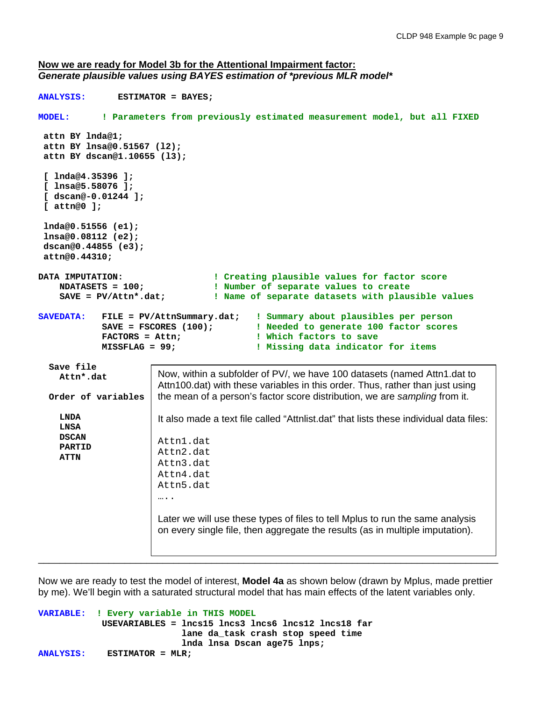#### **Now we are ready for Model 3b for the Attentional Impairment factor:**  *Generate plausible values using BAYES estimation of \*previous MLR model\**

```
ANALYSIS: ESTIMATOR = BAYES; 
MODEL: ! Parameters from previously estimated measurement model, but all FIXED
 attn BY lnda@1;
 attn BY lnsa@0.51567 (l2);
 attn BY dscan@1.10655 (l3);
 [ lnda@4.35396 ];
 [ lnsa@5.58076 ];
 [ dscan@-0.01244 ];
 [ attn@0 ];
 lnda@0.51556 (e1);
 lnsa@0.08112 (e2);
 dscan@0.44855 (e3);
 attn@0.44310;
DATA IMPUTATION: ! Creating plausible values for factor score
    NDATASETS = 100; 100: ! Number of separate values to create<br>SAVE = PV/Attn*.dat; 1 Name of separate datasets with plau;
                                    ! Name of separate datasets with plausible values
SAVEDATA: FILE = PV/AttnSummary.dat; ! Summary about plausibles per person
              SAVE = FSCORES (100); ! Needed to generate 100 factor scores
              FACTORS = Attn; \qquad ! Which factors to save MISSFLAG = 99; \qquad ! Missing data indicator
                                               ! Missing data indicator for items
   Save file
     Attn*.dat
   Order of variables
     LNDA
     LNSA
     DSCAN
     PARTID
     ATTN
_____________________________________________________________________________________
                         Now, within a subfolder of PV/, we have 100 datasets (named Attn1.dat to 
                         Attn100.dat) with these variables in this order. Thus, rather than just using 
                         the mean of a person's factor score distribution, we are sampling from it.
                         It also made a text file called "Attnlist.dat" that lists these individual data files:
                         Attn1.dat
                         Attn2.dat
                         Attn3.dat
                         Attn4.dat
                         Attn5.dat
                         ….
                         Later we will use these types of files to tell Mplus to run the same analysis 
                         on every single file, then aggregate the results (as in multiple imputation).
```
Now we are ready to test the model of interest, **Model 4a** as shown below (drawn by Mplus, made prettier by me). We'll begin with a saturated structural model that has main effects of the latent variables only.

```
VARIABLE: ! Every variable in THIS MODEL
             USEVARIABLES = lncs15 lncs3 lncs6 lncs12 lncs18 far
                            lane da_task crash stop speed time
                            lnda lnsa Dscan age75 lnps; 
ANALYSIS: ESTIMATOR = MLR;
```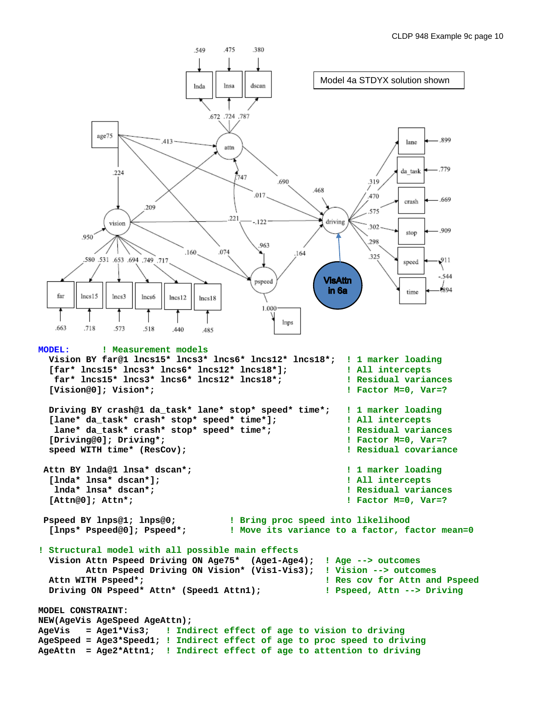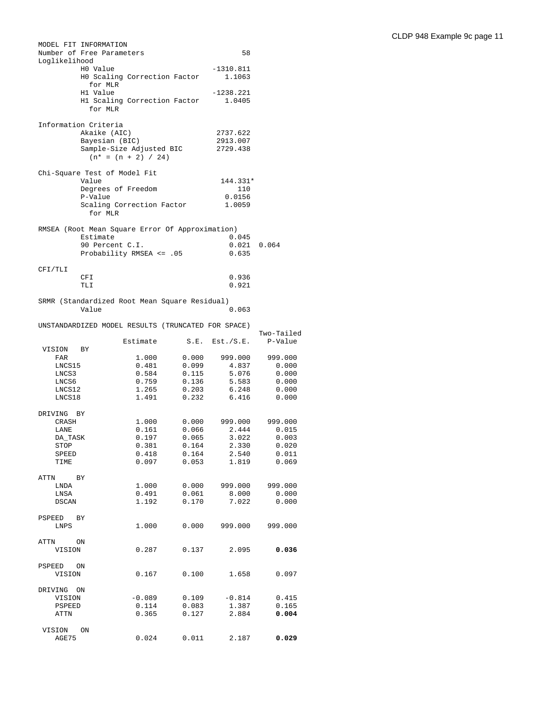|                      | MODEL FIT INFORMATION                 |                                                    |                |                       |                  |
|----------------------|---------------------------------------|----------------------------------------------------|----------------|-----------------------|------------------|
| Loglikelihood        | Number of Free Parameters             |                                                    |                | 58                    |                  |
|                      | H0 Value                              | HO Scaling Correction Factor                       |                | $-1310.811$<br>1.1063 |                  |
|                      | for MLR<br>H1 Value                   |                                                    |                | $-1238.221$           |                  |
|                      | for MLR                               | H1 Scaling Correction Factor                       |                | 1.0405                |                  |
|                      | Information Criteria<br>Akaike (AIC)  |                                                    |                | 2737.622              |                  |
|                      | Bayesian (BIC)                        |                                                    |                | 2913.007              |                  |
|                      |                                       | Sample-Size Adjusted BIC<br>$(n^* = (n + 2) / 24)$ |                | 2729.438              |                  |
|                      | Chi-Square Test of Model Fit<br>Value |                                                    |                | 144.331*              |                  |
|                      | Degrees of Freedom                    |                                                    |                | 110                   |                  |
|                      | P-Value                               |                                                    |                | 0.0156                |                  |
|                      | for MLR                               | Scaling Correction Factor                          |                | 1.0059                |                  |
|                      | Estimate                              | RMSEA (Root Mean Square Error Of Approximation)    |                | 0.045                 |                  |
|                      | 90 Percent C.I.                       |                                                    |                | $0.021$ $0.064$       |                  |
|                      |                                       | Probability RMSEA <= .05                           |                | 0.635                 |                  |
| CFI/TLI              | CFI                                   |                                                    |                | 0.936                 |                  |
|                      | TLI                                   |                                                    |                | 0.921                 |                  |
|                      | Value                                 | SRMR (Standardized Root Mean Square Residual)      |                | 0.063                 |                  |
|                      |                                       | UNSTANDARDIZED MODEL RESULTS (TRUNCATED FOR SPACE) |                |                       | Two-Tailed       |
|                      |                                       | Estimate                                           |                | $S.E.$ $Est./S.E.$    | P-Value          |
| VISION<br>FAR        | BY                                    | 1.000                                              | 0.000          | 999.000               | 999.000          |
| LNCS15               |                                       | 0.481                                              | 0.099          | 4.837                 | 0.000            |
| LNCS3                |                                       | 0.584                                              | 0.115          | 5.076                 | 0.000            |
| LNCS6<br>LNCS12      |                                       | 0.759<br>1.265                                     | 0.136<br>0.203 | 5.583<br>6.248        | 0.000<br>0.000   |
| LNCS18               |                                       | 1.491                                              | 0.232          | 6.416                 | 0.000            |
| DRIVING BY           |                                       |                                                    |                |                       |                  |
| CRASH                |                                       | 1.000<br>0.161                                     | 0.000<br>0.066 | 999.000<br>2.444      | 999.000<br>0.015 |
| LANE<br>DA_TASK      |                                       | 0.197                                              | 0.065          | 3.022                 | 0.003            |
| STOP                 |                                       | 0.381                                              | 0.164          | 2.330                 | 0.020            |
| SPEED                |                                       | 0.418                                              | 0.164          | 2.540                 | 0.011            |
| TIME                 |                                       | 0.097                                              | 0.053          | 1.819                 | 0.069            |
| ATTN BY              |                                       | 1.000                                              | 0.000          | 999.000               | 999.000          |
| LNDA<br>LNSA         |                                       | 0.491                                              | 0.061          | 8.000                 | 0.000            |
| DSCAN                |                                       | 1.192                                              | 0.170          | 7.022                 | 0.000            |
| PSPEED BY            |                                       | 1.000                                              |                | 999.000               |                  |
| LNPS                 |                                       |                                                    | 0.000          |                       | 999.000          |
| ATTN ON<br>VISION    |                                       | 0.287                                              | 0.137          | 2.095                 | 0.036            |
| PSPEED ON            |                                       |                                                    |                |                       |                  |
| VISION               |                                       | 0.167                                              | 0.100          | 1.658                 | 0.097            |
| DRIVING ON<br>VISION |                                       | $-0.089$                                           | 0.109          | $-0.814$              | 0.415            |
| PSPEED               |                                       | 0.114                                              | 0.083          | 1.387                 | 0.165            |
| ATTN                 |                                       | 0.365                                              | 0.127          | 2.884                 | 0.004            |
| VISION               | ON                                    |                                                    |                |                       |                  |
| AGE75                |                                       | 0.024                                              | 0.011          | 2.187                 | 0.029            |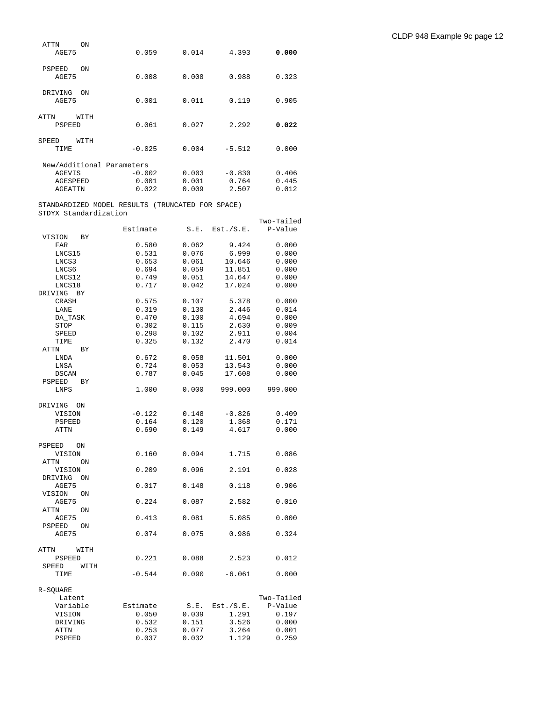| ATTN<br>AGE75          | ON   | 0.059                     | 0.014 | 4.393    | 0.000 |
|------------------------|------|---------------------------|-------|----------|-------|
| <b>PSPEED</b><br>AGE75 | ON   | 0.008                     | 0.008 | 0.988    | 0.323 |
| DRIVING<br>AGE75       | ON   | 0.001                     | 0.011 | 0.119    | 0.905 |
| ATTN<br>PSPEED         | WITH | 0.061                     | 0.027 | 2.292    | 0.022 |
| SPEED<br>TIME          | WITH | $-0.025$                  | 0.004 | $-5.512$ | 0.000 |
|                        |      | New/Additional Parameters |       |          |       |
| AGEVIS                 |      | $-0.002$                  | 0.003 | $-0.830$ | 0.406 |
| AGESPEED               |      | 0.001                     | 0.001 | 0.764    | 0.445 |
| <b>AGEATTN</b>         |      | 0.022                     | 0.009 | 2.507    | 0.012 |

STANDARDIZED MODEL RESULTS (TRUNCATED FOR SPACE) STDYX Standardization

|                     |          |       |           | Two-Tailed |
|---------------------|----------|-------|-----------|------------|
|                     | Estimate | S.E.  | Est./S.E. | P-Value    |
| VISION<br>ВY        |          |       |           |            |
| FAR                 | 0.580    | 0.062 | 9.424     | 0.000      |
| LNCS15              | 0.531    | 0.076 | 6.999     | 0.000      |
| LNCS3               | 0.653    | 0.061 | 10.646    | 0.000      |
|                     |          |       |           |            |
| LNCS6               | 0.694    | 0.059 | 11.851    | 0.000      |
| LNCS12              | 0.749    | 0.051 | 14.647    | 0.000      |
| LNCS18              | 0.717    | 0.042 | 17.024    | 0.000      |
| DRIVING<br>ВY       |          |       |           |            |
| CRASH               | 0.575    | 0.107 | 5.378     | 0.000      |
| LANE                | 0.319    | 0.130 | 2.446     | 0.014      |
| DA_TASK             | 0.470    | 0.100 | 4.694     | 0.000      |
| STOP                | 0.302    | 0.115 | 2.630     | 0.009      |
|                     |          |       |           |            |
| SPEED               | 0.298    | 0.102 | 2.911     | 0.004      |
| TIME                | 0.325    | 0.132 | 2.470     | 0.014      |
| ATTN<br>ВY          |          |       |           |            |
| LNDA                | 0.672    | 0.058 | 11.501    | 0.000      |
| LNSA                | 0.724    | 0.053 | 13.543    | 0.000      |
| <b>DSCAN</b>        | 0.787    | 0.045 | 17.608    | 0.000      |
| PSPEED<br>ВY        |          |       |           |            |
| LNPS                | 1.000    | 0.000 | 999.000   | 999.000    |
|                     |          |       |           |            |
|                     |          |       |           |            |
| DRIVING<br>ON       |          |       |           |            |
| VISION              | $-0.122$ | 0.148 | $-0.826$  | 0.409      |
| <b>PSPEED</b>       | 0.164    | 0.120 | 1.368     | 0.171      |
| <b>ATTN</b>         | 0.690    | 0.149 | 4.617     | 0.000      |
|                     |          |       |           |            |
| PSPEED<br>ON        |          |       |           |            |
| VISION              | 0.160    | 0.094 | 1.715     | 0.086      |
| ATTN<br>ΟN          |          |       |           |            |
| VISION              | 0.209    | 0.096 | 2.191     | 0.028      |
|                     |          |       |           |            |
| DRIVING<br>ON       |          |       |           |            |
| AGE75               | 0.017    | 0.148 | 0.118     | 0.906      |
| VISION<br>ON        |          |       |           |            |
| AGE75               | 0.224    | 0.087 | 2.582     | 0.010      |
| ATTN<br>ON          |          |       |           |            |
| AGE75               | 0.413    | 0.081 | 5.085     | 0.000      |
| <b>PSPEED</b><br>ON |          |       |           |            |
| AGE75               | 0.074    | 0.075 | 0.986     | 0.324      |
|                     |          |       |           |            |
|                     |          |       |           |            |
| ATTN<br>WITH        |          |       |           |            |
| PSPEED              | 0.221    | 0.088 | 2.523     | 0.012      |
| SPEED<br>WITH       |          |       |           |            |
| TIME                | $-0.544$ | 0.090 | $-6.061$  | 0.000      |
|                     |          |       |           |            |
| R-SOUARE            |          |       |           |            |
| Latent              |          |       |           | Two-Tailed |
| Variable            | Estimate | S.E.  | Est./S.E. | P-Value    |
| VISION              | 0.050    | 0.039 | 1.291     | 0.197      |
|                     |          |       |           |            |
| DRIVING             | 0.532    | 0.151 | 3.526     | 0.000      |
| ATTN                | 0.253    | 0.077 | 3.264     | 0.001      |
| <b>PSPEED</b>       | 0.037    | 0.032 | 1.129     | 0.259      |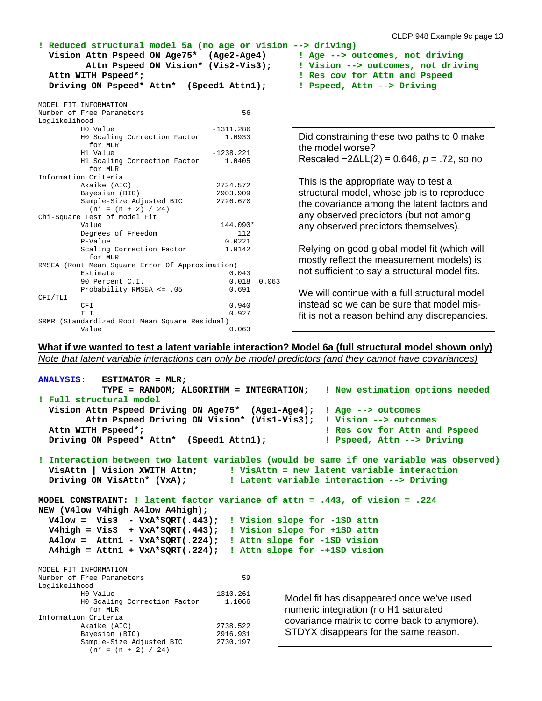**! Reduced structural model 5a (no age or vision --> driving) Vision Attn Pspeed ON Age75\* (Age2-Age4) ! Age --> outcomes, not driving Attn Pspeed ON Vision\* (Vis2-Vis3); ! Vision --> outcomes, not driving Attn WITH Pspeed\*; ! Res cov for Attn and Pspeed Driving ON Pspeed\* Attn\* (Speed1 Attn1); ! Pspeed, Attn --> Driving**

MODEL FIT INFORMATION

 $(n* = (n + 2) / 24)$ 

|               | MODEL FIL INFONTAILOR                           |             |       |                                                    |
|---------------|-------------------------------------------------|-------------|-------|----------------------------------------------------|
|               | Number of Free Parameters                       | 56          |       |                                                    |
| Loglikelihood |                                                 |             |       |                                                    |
|               | HO Value                                        | $-1311.286$ |       |                                                    |
|               | HO Scaling Correction Factor                    | 1.0933      |       | Did constraining these two paths to 0 make         |
|               | for MLR                                         |             |       | the model worse?                                   |
|               | H1 Value                                        | $-1238.221$ |       |                                                    |
|               | H1 Scaling Correction Factor                    | 1.0405      |       | Rescaled $-2\Delta L(L(2) = 0.646, p = .72, so no$ |
|               | for MLR                                         |             |       |                                                    |
|               | Information Criteria                            |             |       | This is the appropriate way to test a              |
|               | Akaike (AIC)                                    | 2734.572    |       |                                                    |
|               | Bayesian (BIC)                                  | 2903.909    |       | structural model, whose job is to reproduce        |
|               | Sample-Size Adjusted BIC                        | 2726.670    |       | the covariance among the latent factors and        |
|               | $(n* = (n + 2) / 24)$                           |             |       |                                                    |
|               | Chi-Square Test of Model Fit                    |             |       | any observed predictors (but not among             |
|               | Value                                           | 144.090*    |       | any observed predictors themselves).               |
|               | Degrees of Freedom                              | 112         |       |                                                    |
|               | P-Value                                         | 0.0221      |       |                                                    |
|               | Scaling Correction Factor                       | 1.0142      |       | Relying on good global model fit (which will       |
|               | for MLR                                         |             |       | mostly reflect the measurement models) is          |
|               | RMSEA (Root Mean Square Error Of Approximation) |             |       |                                                    |
|               | Estimate                                        | 0.043       |       | not sufficient to say a structural model fits.     |
|               | 90 Percent C.I.                                 | 0.018       | 0.063 |                                                    |
|               | Probability RMSEA <= .05                        | 0.691       |       | We will continue with a full structural model      |
| CFI/TLI       |                                                 |             |       |                                                    |
|               | CFI                                             | 0.940       |       | instead so we can be sure that model mis-          |
|               | TLI                                             | 0.927       |       | fit is not a reason behind any discrepancies.      |
|               | SRMR (Standardized Root Mean Square Residual)   |             |       |                                                    |
|               | Value                                           | 0.063       |       |                                                    |

**What if we wanted to test a latent variable interaction? Model 6a (full structural model shown only)** *Note that latent variable interactions can only be model predictors (and they cannot have covariances)*

```
ANALYSIS: ESTIMATOR = MLR;
           TYPE = RANDOM; ALGORITHM = INTEGRATION; ! New estimation options needed
! Full structural model
   Vision Attn Pspeed Driving ON Age75* (Age1-Age4); ! Age --> outcomes
          Attn Pspeed Driving ON Vision* (Vis1-Vis3); ! Vision --> outcomes
   Attn WITH Pspeed*; ! Res cov for Attn and Pspeed
 Driving ON Pspeed* Attn* (Speed1 Attn1);
! Interaction between two latent variables (would be same if one variable was observed)
   VisAttn | Vision XWITH Attn; ! VisAttn = new latent variable interaction
  Driving ON VisAttn* (VxA); ! Latent variable interaction --> Driving
MODEL CONSTRAINT: ! latent factor variance of attn = .443, of vision = .224
NEW (V4low V4high A4low A4high);
  V4low = Vis3 - VxA*SQRT(.443); ! Vision slope for -1SD attn
  V4high = Vis3 + VxA*SQRT(.443); ! Vision slope for +1SD attn
  A4low = Attn1 - VxA*SQRT(.224); ! Attn slope for -1SD vision
  A4high = Attn1 + VxA*SQRT(.224); ! Attn slope for -+1SD vision
MODEL FIT INFORMATION
Number of Free Parameters 59
Loglikelihood
H0 Value -1310.261 H0 Scaling Correction Factor 1.1066
 for MLR
Information Criteria
       Akaike (AIC) 2738.522<br>Bayesian (BIC) 2916.931
        Bayesian (BIC) 2916.931<br>Sample-Size Adjusted BIC 2730.197
       Sample-Size Adjusted BIC
                                              Model fit has disappeared once we've used 
                                              numeric integration (no H1 saturated 
                                              covariance matrix to come back to anymore). 
                                              STDYX disappears for the same reason.
```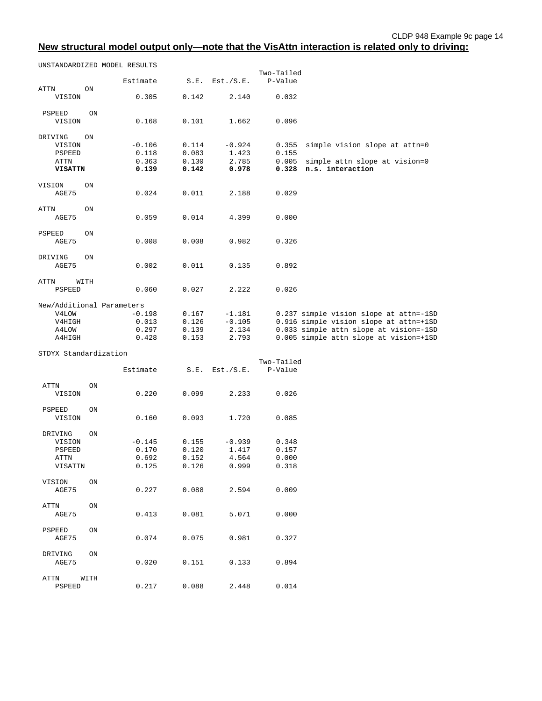## **New structural model output only—note that the VisAttn interaction is related only to driving:**

UNSTANDARDIZED MODEL RESULTS

|                           |      | Estimate | S.E.  | Est./S.E. | Two-Tailed<br>P-Value |                                           |
|---------------------------|------|----------|-------|-----------|-----------------------|-------------------------------------------|
| <b>ATTN</b>               | ON   |          |       |           |                       |                                           |
| VISION                    |      | 0.305    | 0.142 | 2.140     | 0.032                 |                                           |
| PSPEED                    | ON   |          |       |           |                       |                                           |
| VISION                    |      | 0.168    | 0.101 | 1.662     | 0.096                 |                                           |
| DRIVING                   | ON   |          |       |           |                       |                                           |
| VISION                    |      | $-0.106$ | 0.114 | $-0.924$  | 0.355                 | simple vision slope at attn=0             |
| PSPEED                    |      | 0.118    | 0.083 | 1.423     | 0.155                 |                                           |
| <b>ATTN</b>               |      | 0.363    | 0.130 | 2.785     | 0.005                 | simple attn slope at vision=0             |
| <b>VISATTN</b>            |      | 0.139    | 0.142 | 0.978     | 0.328                 | n.s. interaction                          |
| VISION                    | ON   |          |       |           |                       |                                           |
| AGE75                     |      | 0.024    | 0.011 | 2.188     | 0.029                 |                                           |
| <b>ATTN</b>               | ON   |          |       |           |                       |                                           |
| AGE75                     |      | 0.059    | 0.014 | 4.399     | 0.000                 |                                           |
| PSPEED                    | ON   |          |       |           |                       |                                           |
| AGE75                     |      | 0.008    | 0.008 | 0.982     | 0.326                 |                                           |
| DRIVING                   | ON   |          |       |           |                       |                                           |
| AGE75                     |      | 0.002    | 0.011 | 0.135     | 0.892                 |                                           |
| <b>ATTN</b>               | WITH |          |       |           |                       |                                           |
| <b>PSPEED</b>             |      | 0.060    | 0.027 | 2.222     | 0.026                 |                                           |
| New/Additional Parameters |      |          |       |           |                       |                                           |
| V4LOW                     |      | $-0.198$ | 0.167 | $-1.181$  |                       | 0.237 simple vision slope at attn = - 1SD |
| V4HIGH                    |      | 0.013    | 0.126 | $-0.105$  |                       | 0.916 simple vision slope at attn=+1SD    |
| A4LOW                     |      | 0.297    | 0.139 | 2.134     |                       | 0.033 simple attn slope at vision=-1SD    |
| A4HIGH                    |      | 0.428    | 0.153 | 2.793     |                       | 0.005 simple attn slope at vision=+1SD    |

STDYX Standardization

|                                                |      | Estimate                            | S.E.                             | Est./S.E.                           | Two-Tailed<br>P-Value            |
|------------------------------------------------|------|-------------------------------------|----------------------------------|-------------------------------------|----------------------------------|
| ATTN<br>VISION                                 | ON.  | 0.220                               | 0.099                            | 2.233                               | 0.026                            |
| PSPEED<br>VISION                               | ON   | 0.160                               | 0.093                            | 1.720                               | 0.085                            |
| DRIVING<br>VISION<br>PSPEED<br>ATTN<br>VISATTN | ON   | $-0.145$<br>0.170<br>0.692<br>0.125 | 0.155<br>0.120<br>0.152<br>0.126 | $-0.939$<br>1.417<br>4.564<br>0.999 | 0.348<br>0.157<br>0.000<br>0.318 |
| VISION<br>AGE75                                | ON   | 0.227                               | 0.088                            | 2.594                               | 0.009                            |
| ATTN<br>AGE75                                  | ON   | 0.413                               | 0.081                            | 5.071                               | 0.000                            |
| PSPEED<br>AGE75                                | ON   | 0.074                               | 0.075                            | 0.981                               | 0.327                            |
| DRIVING<br>AGE75                               | ON   | 0.020                               | 0.151                            | 0.133                               | 0.894                            |
| ATTN<br>PSPEED                                 | WITH | 0.217                               | 0.088                            | 2.448                               | 0.014                            |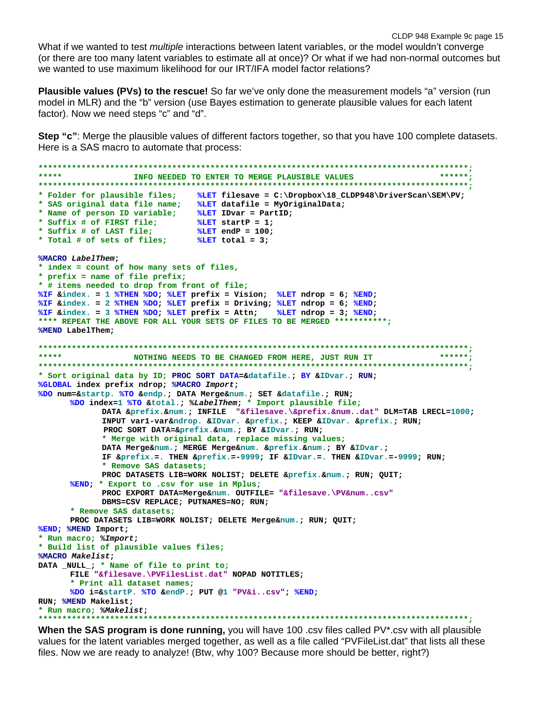CLDP 948 Example 9c page 15 What if we wanted to test *multiple* interactions between latent variables, or the model wouldn't converge (or there are too many latent variables to estimate all at once)? Or what if we had non-normal outcomes but we wanted to use maximum likelihood for our IRT/IFA model factor relations?

**Plausible values (PVs) to the rescue!** So far we've only done the measurement models "a" version (run model in MLR) and the "b" version (use Bayes estimation to generate plausible values for each latent factor). Now we need steps "c" and "d".

**Step "c"**: Merge the plausible values of different factors together, so that you have 100 complete datasets. Here is a SAS macro to automate that process:

```
******************************************************************************************;
                  INFO NEEDED TO ENTER TO MERGE PLAUSIBLE VALUES
******************************************************************************************;
* Folder for plausible files; %LET filesave = C:\Dropbox\18_CLDP948\DriverScan\SEM\PV;
* SAS original data file name; %LET datafile = MyOriginalData;
* Name of person ID variable; %LET IDvar = PartID;
* Suffix # of FIRST file; %LET startP = 1;
* Suffix # of LAST file; %LET endP = 100;
* Total # of sets of files; %LET total = 3; 
%MACRO LabelThem; 
* index = count of how many sets of files, 
* prefix = name of file prefix;
* # items needed to drop from front of file;
%IF &index. = 1 %THEN %DO; %LET prefix = Vision; %LET ndrop = 6; %END;
%IF &index. = 2 %THEN %DO; %LET prefix = Driving; %LET ndrop = 6; %END;
%IF &index. = 3 %THEN %DO; %LET prefix = Attn; %LET ndrop = 3; %END;
**** REPEAT THE ABOVE FOR ALL YOUR SETS OF FILES TO BE MERGED ***********;
%MEND LabelThem;
******************************************************************************************;
           ***** NOTHING NEEDS TO BE CHANGED FROM HERE, JUST RUN IT ******;
******************************************************************************************;
* Sort original data by ID; PROC SORT DATA=&datafile.; BY &IDvar.; RUN;
%GLOBAL index prefix ndrop; %MACRO Import;
%DO num=&startp. %TO &endp.; DATA Merge&num.; SET &datafile.; RUN;
      %DO index=1 %TO &total.; %LabelThem; * Import plausible file;
             DATA &prefix.&num.; INFILE "&filesave.\&prefix.&num..dat" DLM=TAB LRECL=1000;
             INPUT var1-var&ndrop. &IDvar. &prefix.; KEEP &IDvar. &prefix.; RUN; 
              PROC SORT DATA=&prefix.&num.; BY &IDvar.; RUN;
             * Merge with original data, replace missing values;
             DATA Merge&num.; MERGE Merge&num. &prefix.&num.; BY &IDvar.; 
             IF &prefix.=. THEN &prefix.=-9999; IF &IDvar.=. THEN &IDvar.=-9999; RUN;
             * Remove SAS datasets;
            PROC DATASETS LIB=WORK NOLIST; DELETE &prefix.&num.; RUN; QUIT;
      %END; * Export to .csv for use in Mplus;
            PROC EXPORT DATA=Merge&num. OUTFILE= "&filesave.\PV&num..csv"
            DBMS=CSV REPLACE; PUTNAMES=NO; RUN;
      * Remove SAS datasets;
      PROC DATASETS LIB=WORK NOLIST; DELETE Merge&num.; RUN; QUIT;
%END; %MEND Import; 
* Run macro; %Import;
* Build list of plausible values files;
%MACRO Makelist;
DATA _NULL_; * Name of file to print to;
      FILE "&filesave.\PVFilesList.dat" NOPAD NOTITLES;
      * Print all dataset names;
      %DO i=&startP. %TO &endP.; PUT @1 "PV&i..csv"; %END;
RUN; %MEND Makelist; 
* Run macro; %Makelist;
******************************************************************************************;
```
**When the SAS program is done running,** you will have 100 .csv files called PV\*.csv with all plausible values for the latent variables merged together, as well as a file called "PVFileList.dat" that lists all these files. Now we are ready to analyze! (Btw, why 100? Because more should be better, right?)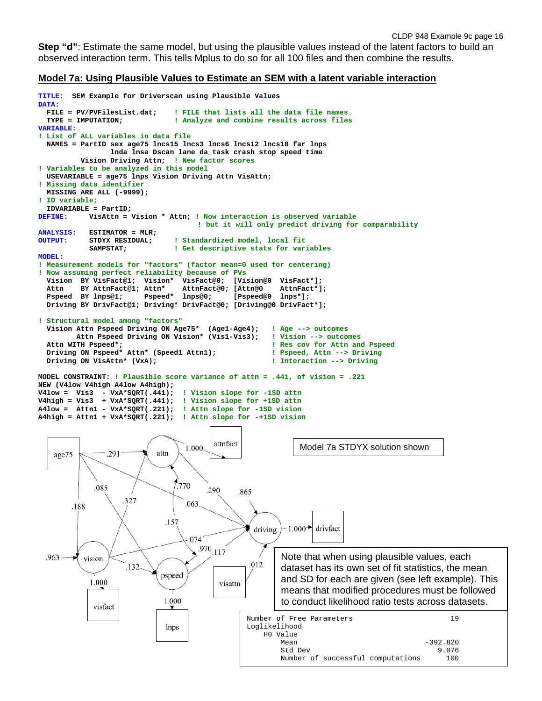**Step "d"**: Estimate the same model, but using the plausible values instead of the latent factors to build an observed interaction term. This tells Mplus to do so for all 100 files and then combine the results.

#### **Model 7a: Using Plausible Values to Estimate an SEM with a latent variable interaction**

```
TITLE: SEM Example for Driverscan using Plausible Values
DATA:<br>FILE = PV/PVFilesList.dat;
   FILE = PV/PVFilesList.dat; ! FILE that lists all the data file names
                                  ! Analyze and combine results across files
VARIABLE:
! List of ALL variables in data file
   NAMES = PartID sex age75 lncs15 lncs3 lncs6 lncs12 lncs18 far lnps 
                   lnda lnsa Dscan lane da_task crash stop speed time
           Vision Driving Attn; ! New factor scores
! Variables to be analyzed in this model
   USEVARIABLE = age75 lnps Vision Driving Attn VisAttn; 
! Missing data identifier
   MISSING ARE ALL (-9999);
! ID variable;
IDVARIABLE = PartID;<br>DEFINE: VisAttn =
            VisAttn = Vision * Attn; ! Now interaction is observed variable
                                          ! but it will only predict driving for comparability
ANALYSIS: ESTIMATOR = MLR; 
            STDYX RESIDUAL; : Standardized model, local fit<br>
SAMPSTAT: : : Get descriptive stats for var
                                  ! Get descriptive stats for variables
MODEL:
! Measurement models for "factors" (factor mean=0 used for centering)
! Now assuming perfect reliability because of PVs
  Vision BY VisFact@1; Vision* VisFact@0; [Vision@0 VisFact*];<br>Attn BY AttnFact@1; Attn* AttnFact@0; [Attn@0 AttnFact*];
  Attn BY AttnFact@1; Attn* AttnFact@0; [Attn@0 AttnFac<br>Pspeed BY lnps@1: Pspeed* lnps@0: [Pspeed@0 lnps*1:
                          Pspeed* lnps@0;
   Driving BY DrivFact@1; Driving* DrivFact@0; [Driving@0 DrivFact*]; 
! Structural model among "factors"
  Vision Attn Pspeed Driving ON Age75* (Age1-Age4); ! Age --> outcomes<br>Attn Pspeed Driving ON Vision* (Vis1-Vis3); ! Vision --> outcomes
  Attn Pspeed Driving ON Vision* (Vis1-Vis3); Attn WITH Pspeed*;
                                                            ! Res cov for Attn and Pspeed<br>! Pspeed, Attn --> Driving
  Driving ON Pspeed* Attn* (Speed1 Attn1);
   Driving ON VisAttn* (VxA); ! Interaction --> Driving
MODEL CONSTRAINT: ! Plausible score variance of attn = .441, of vision = .221
NEW (V4low V4high A4low A4high);
V4low = Vis3 - VxA*SQRT(.441); ! Vision slope for -1SD attn
V4high = Vis3 + VxA*SQRT(.441); ! Vision slope for +1SD attn
A4low = Attn1 - VxA*SQRT(.221); ! Attn slope for -1SD vision
A4high = Attn1 + VxA*SQRT(.221); ! Attn slope for -+1SD vision
                                             attnfact
                                                                   Model 7a STDYX solution shown
                                      1.000
    age75
                 .291
                              attn
                                    770
              .085
                                           290
                                                   865
                     .327
                                      .063
        .188
                                .157
                                                       driving
                                                                1.000 +drivfact
                                       074
                                         .970_{.117}.963
                                                              Note that when using plausible values, each 
           vision
                                                      .012
                      .132
                                                              dataset has its own set of fit statistics, the mean 
                               pspeed
                                                              and SD for each are given (see left example). This 
             1.000
                                              visattn
                                                              means that modified procedures must be followed 
                                1.000
                                                              to conduct likelihood ratio tests across datasets.
              visfact
                                                     Number of Free Parameters 19
                                                     Loglikelihood
                                lnps
                                                          H0 Value
                                                              Mean -392.820<br>Std Dev 9.076Std Dev 9.076
                                                       Number of successful computations 100
```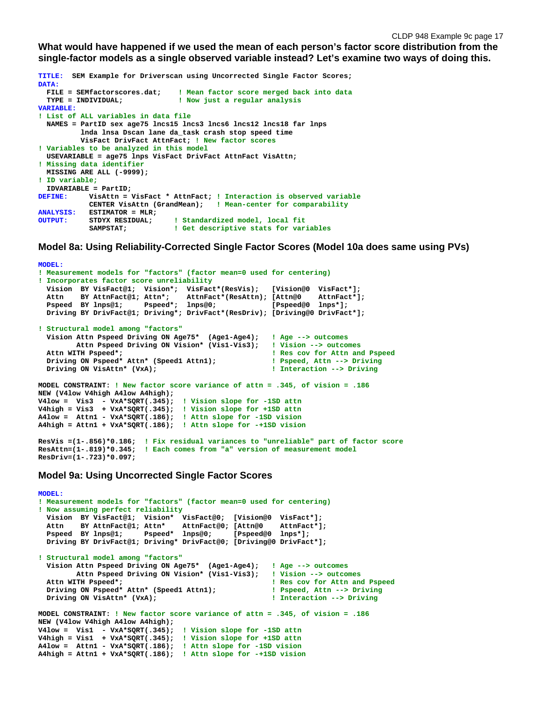**What would have happened if we used the mean of each person's factor score distribution from the single-factor models as a single observed variable instead? Let's examine two ways of doing this.**

**TITLE: SEM Example for Driverscan using Uncorrected Single Factor Scores; DATA: FILE = SEMfactorscores.dat; ! Mean factor score merged back into data** *I* Now just a regular analysis **VARIABLE: ! List of ALL variables in data file NAMES = PartID sex age75 lncs15 lncs3 lncs6 lncs12 lncs18 far lnps lnda lnsa Dscan lane da\_task crash stop speed time VisFact DrivFact AttnFact; ! New factor scores ! Variables to be analyzed in this model USEVARIABLE = age75 lnps VisFact DrivFact AttnFact VisAttn; ! Missing data identifier MISSING ARE ALL (-9999); ! ID variable; IDVARIABLE = PartID; DEFINE: VisAttn = VisFact \* AttnFact; ! Interaction is observed variable CENTER VisAttn (GrandMean); ! Mean-center for comparability ANALYSIS: ESTIMATOR = MLR; OUTPUT: STDYX RESIDUAL; ! Standardized model, local fit ! Get descriptive stats for variables** 

**Model 8a: Using Reliability-Corrected Single Factor Scores (Model 10a does same using PVs)**

```
MODEL:
! Measurement models for "factors" (factor mean=0 used for centering)
! Incorporates factor score unreliability
   Vision BY VisFact@1; Vision*; VisFact*(ResVis); [Vision@0 VisFact*];
 Attn BY AttnFact@1; Attn*; AttnFact*(ResAttn); [Attn@0 AttnFact*];
 Pspeed BY lnps@1; Pspeed*; lnps@0; [Pspeed@0 lnps*];
   Driving BY DrivFact@1; Driving*; DrivFact*(ResDriv); [Driving@0 DrivFact*]; 
! Structural model among "factors"
 Vision Attn Pspeed Driving ON Age75* (Age1-Age4); ! Age --> outcomes 
 Attn Pspeed Driving ON Vision* (Vis1-Vis3); ! Vision --> outcomes
  Attn WITH Pspeed*;<br>
Driving ON Pspeed* Attn* (Speed1 Attn1);
<br>
1 Pspeed, Attn --> Driving
  Driving ON Pspeed* Attn* (Speed1 Attn1); <br>Driving ON VisAttn* (VxA): <br>Priving ON VisAttn* (VxA): <br>Priving
  Driving ON VisAttn* (VxA);
MODEL CONSTRAINT: ! New factor score variance of attn = .345, of vision = .186
NEW (V4low V4high A4low A4high);
V4low = Vis3 - VxA*SQRT(.345); ! Vision slope for -1SD attn
V4high = Vis3 + VxA*SQRT(.345); ! Vision slope for +1SD attn
A4low = Attn1 - VxA*SQRT(.186); ! Attn slope for -1SD vision
A4high = Attn1 + VxA*SQRT(.186); ! Attn slope for -+1SD vision
ResVis =(1-.856)*0.186; ! Fix residual variances to "unreliable" part of factor score
ResAttn=(1-.819)*0.345; ! Each comes from "a" version of measurement model
ResDriv=(1-.723)*0.097;
```
#### **Model 9a: Using Uncorrected Single Factor Scores**

```
MODEL:
! Measurement models for "factors" (factor mean=0 used for centering)
! Now assuming perfect reliability
 Vision BY VisFact@1; Vision* VisFact@0; [Vision@0 VisFact*];
 Attn BY AttnFact@1; Attn* AttnFact@0; [Attn@0 AttnFact*];
   Pspeed BY lnps@1; Pspeed* lnps@0; [Pspeed@0 lnps*];
   Driving BY DrivFact@1; Driving* DrivFact@0; [Driving@0 DrivFact*]; 
! Structural model among "factors"
   Vision Attn Pspeed Driving ON Age75* (Age1-Age4); ! Age --> outcomes 
  Attn Pspeed Driving ON Vision* (Vis1-Vis3); Attn WITH Pspeed*;
                                                          Pass cov for Attn and Pspeed<br>1 Pspeed, Attn --> Driving
  Driving ON Pspeed* Attn* (Speed1 Attn1); <br>Driving ON VisAttn* (VxA): <br>Priving ON VisAttn* (VxA): <br>Priving
  Driving ON VisAttn* (VxA);
MODEL CONSTRAINT: ! New factor score variance of attn = .345, of vision = .186
NEW (V4low V4high A4low A4high);
V4low = Vis1 - VxA*SQRT(.345); ! Vision slope for -1SD attn
V4high = Vis1 + VxA*SQRT(.345); ! Vision slope for +1SD attn
A4low = Attn1 - VxA*SQRT(.186); ! Attn slope for -1SD vision
A4high = Attn1 + VxA*SQRT(.186); ! Attn slope for -+1SD vision
```